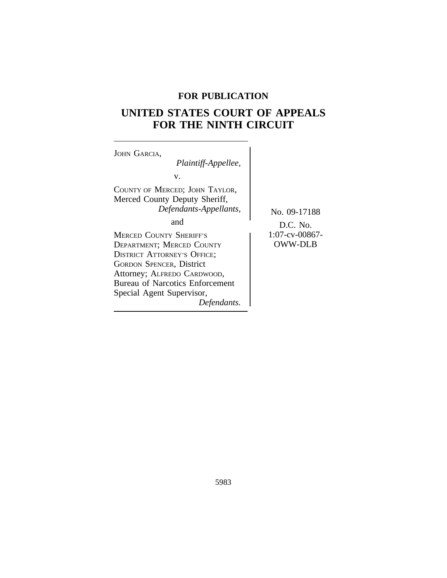# **FOR PUBLICATION**

# **UNITED STATES COURT OF APPEALS FOR THE NINTH CIRCUIT**

| JOHN GARCIA.                                                                                                                                                                                                                                                     |                                  |
|------------------------------------------------------------------------------------------------------------------------------------------------------------------------------------------------------------------------------------------------------------------|----------------------------------|
| Plaintiff-Appellee,                                                                                                                                                                                                                                              |                                  |
| V.                                                                                                                                                                                                                                                               |                                  |
| COUNTY OF MERCED; JOHN TAYLOR,<br>Merced County Deputy Sheriff,<br>Defendants-Appellants,                                                                                                                                                                        | No. 09-17188                     |
| and                                                                                                                                                                                                                                                              | $D.C.$ No.                       |
| <b>MERCED COUNTY SHERIFF'S</b><br><b>DEPARTMENT; MERCED COUNTY</b><br><b>DISTRICT ATTORNEY'S OFFICE;</b><br><b>GORDON SPENCER, District</b><br>Attorney; ALFREDO CARDWOOD,<br><b>Bureau of Narcotics Enforcement</b><br>Special Agent Supervisor,<br>Defendants. | 1:07-cv-00867-<br><b>OWW-DLB</b> |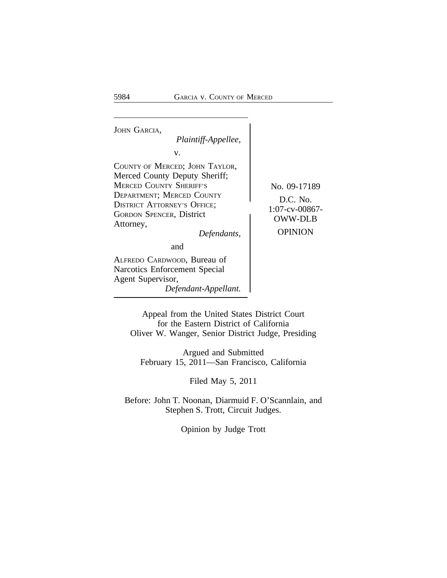<sup>J</sup>OHN GARCIA, *Plaintiff-Appellee,* v. COUNTY OF MERCED; JOHN TAYLOR, Merced County Deputy Sheriff; MERCED COUNTY SHERIFF'S No. 09-17189<br>DEPARTMENT; MERCED COUNTY DEPARTMENT, MERCED COUNTY<br>DISTRICT ATTORNEY'S OFFICE;<br> $1:07$ -cv-00867-GORDON SPENCER, District  $\begin{array}{c|c}\n1.07-V-00807 \\
OWW-DLB\n\end{array}$  $Defendants,$ and ALFREDO CARDWOOD, Bureau of Narcotics Enforcement Special Agent Supervisor, *Defendant-Appellant.*

Appeal from the United States District Court for the Eastern District of California Oliver W. Wanger, Senior District Judge, Presiding

Argued and Submitted February 15, 2011—San Francisco, California

Filed May 5, 2011

Before: John T. Noonan, Diarmuid F. O'Scannlain, and Stephen S. Trott, Circuit Judges.

Opinion by Judge Trott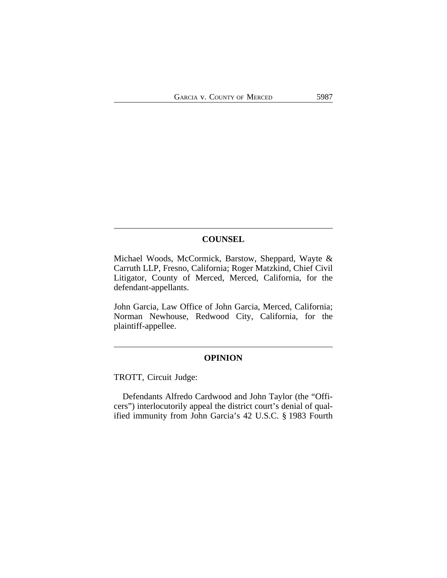# **COUNSEL**

Michael Woods, McCormick, Barstow, Sheppard, Wayte & Carruth LLP, Fresno, California; Roger Matzkind, Chief Civil Litigator, County of Merced, Merced, California, for the defendant-appellants.

John Garcia, Law Office of John Garcia, Merced, California; Norman Newhouse, Redwood City, California, for the plaintiff-appellee.

# **OPINION**

TROTT, Circuit Judge:

Defendants Alfredo Cardwood and John Taylor (the "Officers") interlocutorily appeal the district court's denial of qualified immunity from John Garcia's 42 U.S.C. § 1983 Fourth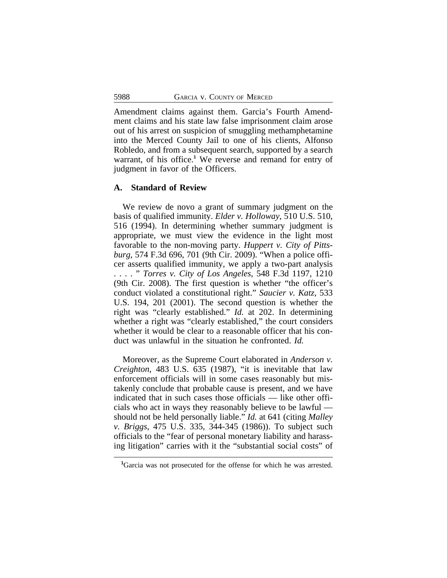Amendment claims against them. Garcia's Fourth Amendment claims and his state law false imprisonment claim arose out of his arrest on suspicion of smuggling methamphetamine into the Merced County Jail to one of his clients, Alfonso Robledo, and from a subsequent search, supported by a search warrant, of his office.**<sup>1</sup>** We reverse and remand for entry of judgment in favor of the Officers.

#### **A. Standard of Review**

We review de novo a grant of summary judgment on the basis of qualified immunity. *Elder v. Holloway*, 510 U.S. 510, 516 (1994). In determining whether summary judgment is appropriate, we must view the evidence in the light most favorable to the non-moving party. *Huppert v. City of Pittsburg*, 574 F.3d 696, 701 (9th Cir. 2009). "When a police officer asserts qualified immunity, we apply a two-part analysis . . . . " *Torres v. City of Los Angeles*, 548 F.3d 1197, 1210 (9th Cir. 2008). The first question is whether "the officer's conduct violated a constitutional right." *Saucier v. Katz*, 533 U.S. 194, 201 (2001). The second question is whether the right was "clearly established." *Id.* at 202. In determining whether a right was "clearly established," the court considers whether it would be clear to a reasonable officer that his conduct was unlawful in the situation he confronted. *Id.*

Moreover, as the Supreme Court elaborated in *Anderson v. Creighton*, 483 U.S. 635 (1987), "it is inevitable that law enforcement officials will in some cases reasonably but mistakenly conclude that probable cause is present, and we have indicated that in such cases those officials — like other officials who act in ways they reasonably believe to be lawful should not be held personally liable." *Id.* at 641 (citing *Malley v. Briggs*, 475 U.S. 335, 344-345 (1986)). To subject such officials to the "fear of personal monetary liability and harassing litigation" carries with it the "substantial social costs" of

**<sup>1</sup>**Garcia was not prosecuted for the offense for which he was arrested.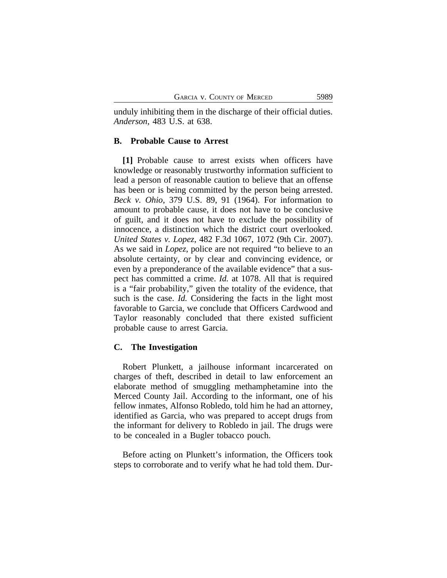unduly inhibiting them in the discharge of their official duties. *Anderson*, 483 U.S. at 638.

### **B. Probable Cause to Arrest**

**[1]** Probable cause to arrest exists when officers have knowledge or reasonably trustworthy information sufficient to lead a person of reasonable caution to believe that an offense has been or is being committed by the person being arrested. *Beck v. Ohio*, 379 U.S. 89, 91 (1964). For information to amount to probable cause, it does not have to be conclusive of guilt, and it does not have to exclude the possibility of innocence, a distinction which the district court overlooked. *United States v. Lopez*, 482 F.3d 1067, 1072 (9th Cir. 2007). As we said in *Lopez*, police are not required "to believe to an absolute certainty, or by clear and convincing evidence, or even by a preponderance of the available evidence" that a suspect has committed a crime. *Id.* at 1078. All that is required is a "fair probability," given the totality of the evidence, that such is the case. *Id.* Considering the facts in the light most favorable to Garcia, we conclude that Officers Cardwood and Taylor reasonably concluded that there existed sufficient probable cause to arrest Garcia.

#### **C. The Investigation**

Robert Plunkett, a jailhouse informant incarcerated on charges of theft, described in detail to law enforcement an elaborate method of smuggling methamphetamine into the Merced County Jail. According to the informant, one of his fellow inmates, Alfonso Robledo, told him he had an attorney, identified as Garcia, who was prepared to accept drugs from the informant for delivery to Robledo in jail. The drugs were to be concealed in a Bugler tobacco pouch.

Before acting on Plunkett's information, the Officers took steps to corroborate and to verify what he had told them. Dur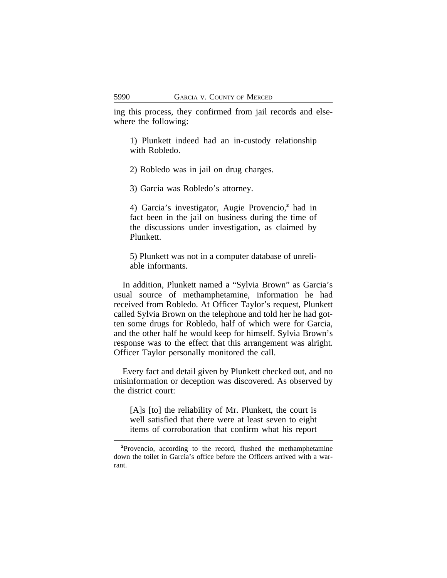ing this process, they confirmed from jail records and elsewhere the following:

1) Plunkett indeed had an in-custody relationship with Robledo.

2) Robledo was in jail on drug charges.

3) Garcia was Robledo's attorney.

4) Garcia's investigator, Augie Provencio,**<sup>2</sup>** had in fact been in the jail on business during the time of the discussions under investigation, as claimed by Plunkett.

5) Plunkett was not in a computer database of unreliable informants.

In addition, Plunkett named a "Sylvia Brown" as Garcia's usual source of methamphetamine, information he had received from Robledo. At Officer Taylor's request, Plunkett called Sylvia Brown on the telephone and told her he had gotten some drugs for Robledo, half of which were for Garcia, and the other half he would keep for himself. Sylvia Brown's response was to the effect that this arrangement was alright. Officer Taylor personally monitored the call.

Every fact and detail given by Plunkett checked out, and no misinformation or deception was discovered. As observed by the district court:

[A]s [to] the reliability of Mr. Plunkett, the court is well satisfied that there were at least seven to eight items of corroboration that confirm what his report

**<sup>2</sup>**Provencio, according to the record, flushed the methamphetamine down the toilet in Garcia's office before the Officers arrived with a warrant.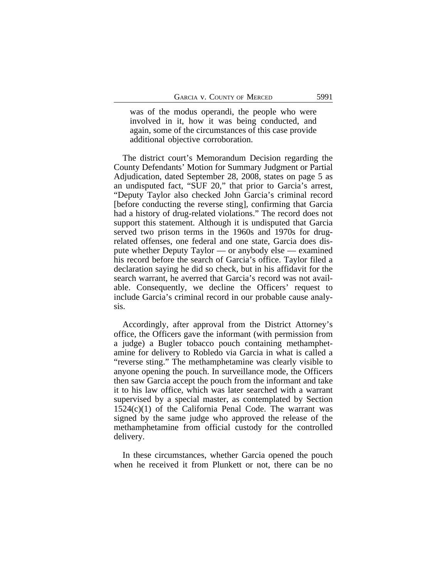was of the modus operandi, the people who were involved in it, how it was being conducted, and again, some of the circumstances of this case provide additional objective corroboration.

The district court's Memorandum Decision regarding the County Defendants' Motion for Summary Judgment or Partial Adjudication, dated September 28, 2008, states on page 5 as an undisputed fact, "SUF 20," that prior to Garcia's arrest, "Deputy Taylor also checked John Garcia's criminal record [before conducting the reverse sting], confirming that Garcia had a history of drug-related violations." The record does not support this statement. Although it is undisputed that Garcia served two prison terms in the 1960s and 1970s for drugrelated offenses, one federal and one state, Garcia does dispute whether Deputy Taylor — or anybody else — examined his record before the search of Garcia's office. Taylor filed a declaration saying he did so check, but in his affidavit for the search warrant, he averred that Garcia's record was not available. Consequently, we decline the Officers' request to include Garcia's criminal record in our probable cause analysis.

Accordingly, after approval from the District Attorney's office, the Officers gave the informant (with permission from a judge) a Bugler tobacco pouch containing methamphetamine for delivery to Robledo via Garcia in what is called a "reverse sting." The methamphetamine was clearly visible to anyone opening the pouch. In surveillance mode, the Officers then saw Garcia accept the pouch from the informant and take it to his law office, which was later searched with a warrant supervised by a special master, as contemplated by Section  $1524(c)(1)$  of the California Penal Code. The warrant was signed by the same judge who approved the release of the methamphetamine from official custody for the controlled delivery.

In these circumstances, whether Garcia opened the pouch when he received it from Plunkett or not, there can be no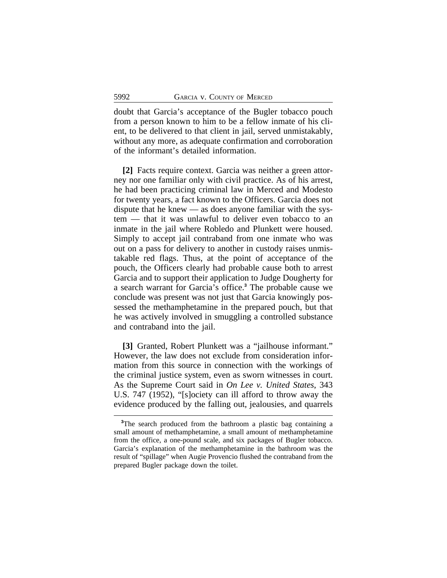doubt that Garcia's acceptance of the Bugler tobacco pouch from a person known to him to be a fellow inmate of his client, to be delivered to that client in jail, served unmistakably, without any more, as adequate confirmation and corroboration of the informant's detailed information.

**[2]** Facts require context. Garcia was neither a green attorney nor one familiar only with civil practice. As of his arrest, he had been practicing criminal law in Merced and Modesto for twenty years, a fact known to the Officers. Garcia does not dispute that he knew — as does anyone familiar with the system — that it was unlawful to deliver even tobacco to an inmate in the jail where Robledo and Plunkett were housed. Simply to accept jail contraband from one inmate who was out on a pass for delivery to another in custody raises unmistakable red flags. Thus, at the point of acceptance of the pouch, the Officers clearly had probable cause both to arrest Garcia and to support their application to Judge Dougherty for a search warrant for Garcia's office.**<sup>3</sup>** The probable cause we conclude was present was not just that Garcia knowingly possessed the methamphetamine in the prepared pouch, but that he was actively involved in smuggling a controlled substance and contraband into the jail.

**[3]** Granted, Robert Plunkett was a "jailhouse informant." However, the law does not exclude from consideration information from this source in connection with the workings of the criminal justice system, even as sworn witnesses in court. As the Supreme Court said in *On Lee v. United States*, 343 U.S. 747 (1952), "[s]ociety can ill afford to throw away the evidence produced by the falling out, jealousies, and quarrels

**<sup>3</sup>**The search produced from the bathroom a plastic bag containing a small amount of methamphetamine, a small amount of methamphetamine from the office, a one-pound scale, and six packages of Bugler tobacco. Garcia's explanation of the methamphetamine in the bathroom was the result of "spillage" when Augie Provencio flushed the contraband from the prepared Bugler package down the toilet.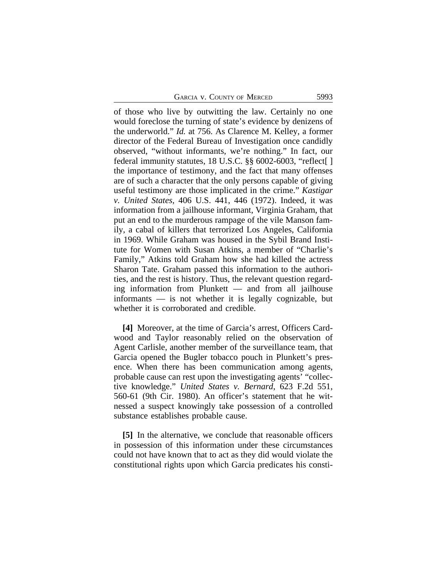of those who live by outwitting the law. Certainly no one would foreclose the turning of state's evidence by denizens of the underworld." *Id.* at 756. As Clarence M. Kelley, a former director of the Federal Bureau of Investigation once candidly observed, "without informants, we're nothing." In fact, our federal immunity statutes, 18 U.S.C. §§ 6002-6003, "reflect[ ] the importance of testimony, and the fact that many offenses are of such a character that the only persons capable of giving useful testimony are those implicated in the crime." *Kastigar v. United States*, 406 U.S. 441, 446 (1972). Indeed, it was information from a jailhouse informant, Virginia Graham, that put an end to the murderous rampage of the vile Manson family, a cabal of killers that terrorized Los Angeles, California in 1969. While Graham was housed in the Sybil Brand Institute for Women with Susan Atkins, a member of "Charlie's Family," Atkins told Graham how she had killed the actress Sharon Tate. Graham passed this information to the authorities, and the rest is history. Thus, the relevant question regarding information from Plunkett — and from all jailhouse informants — is not whether it is legally cognizable, but whether it is corroborated and credible.

**[4]** Moreover, at the time of Garcia's arrest, Officers Cardwood and Taylor reasonably relied on the observation of Agent Carlisle, another member of the surveillance team, that Garcia opened the Bugler tobacco pouch in Plunkett's presence. When there has been communication among agents, probable cause can rest upon the investigating agents' "collective knowledge." *United States v. Bernard*, 623 F.2d 551, 560-61 (9th Cir. 1980). An officer's statement that he witnessed a suspect knowingly take possession of a controlled substance establishes probable cause.

**[5]** In the alternative, we conclude that reasonable officers in possession of this information under these circumstances could not have known that to act as they did would violate the constitutional rights upon which Garcia predicates his consti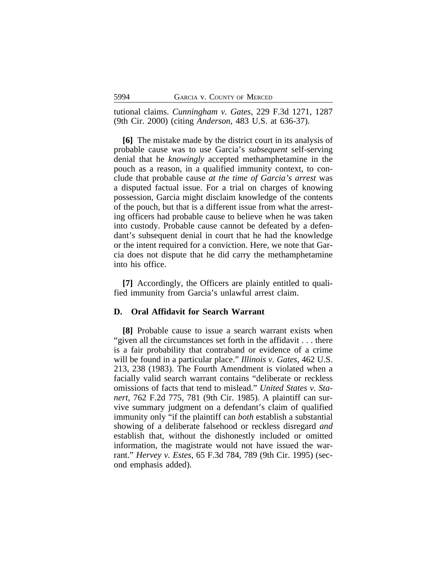tutional claims. *Cunningham v. Gates*, 229 F.3d 1271, 1287 (9th Cir. 2000) (citing *Anderson*, 483 U.S. at 636-37).

**[6]** The mistake made by the district court in its analysis of probable cause was to use Garcia's *subsequent* self-serving denial that he *knowingly* accepted methamphetamine in the pouch as a reason, in a qualified immunity context, to conclude that probable cause *at the time of Garcia's arrest* was a disputed factual issue. For a trial on charges of knowing possession, Garcia might disclaim knowledge of the contents of the pouch, but that is a different issue from what the arresting officers had probable cause to believe when he was taken into custody. Probable cause cannot be defeated by a defendant's subsequent denial in court that he had the knowledge or the intent required for a conviction. Here, we note that Garcia does not dispute that he did carry the methamphetamine into his office.

**[7]** Accordingly, the Officers are plainly entitled to qualified immunity from Garcia's unlawful arrest claim.

#### **D. Oral Affidavit for Search Warrant**

**[8]** Probable cause to issue a search warrant exists when "given all the circumstances set forth in the affidavit . . . there is a fair probability that contraband or evidence of a crime will be found in a particular place." *Illinois v. Gates*, 462 U.S. 213, 238 (1983). The Fourth Amendment is violated when a facially valid search warrant contains "deliberate or reckless omissions of facts that tend to mislead." *United States v. Stanert*, 762 F.2d 775, 781 (9th Cir. 1985). A plaintiff can survive summary judgment on a defendant's claim of qualified immunity only "if the plaintiff can *both* establish a substantial showing of a deliberate falsehood or reckless disregard *and* establish that, without the dishonestly included or omitted information, the magistrate would not have issued the warrant." *Hervey v. Estes*, 65 F.3d 784, 789 (9th Cir. 1995) (second emphasis added).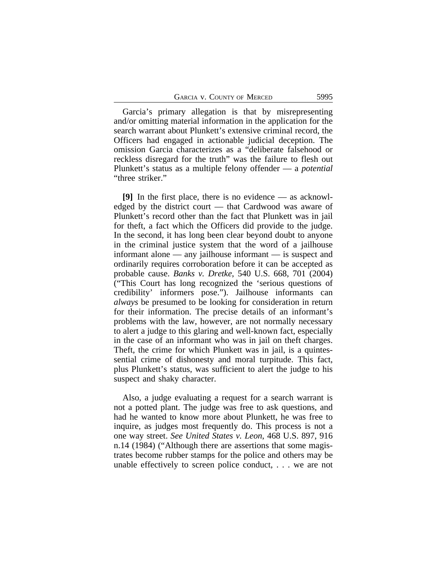Garcia's primary allegation is that by misrepresenting and/or omitting material information in the application for the search warrant about Plunkett's extensive criminal record, the Officers had engaged in actionable judicial deception. The omission Garcia characterizes as a "deliberate falsehood or reckless disregard for the truth" was the failure to flesh out Plunkett's status as a multiple felony offender — a *potential* "three striker."

**[9]** In the first place, there is no evidence — as acknowledged by the district court — that Cardwood was aware of Plunkett's record other than the fact that Plunkett was in jail for theft, a fact which the Officers did provide to the judge. In the second, it has long been clear beyond doubt to anyone in the criminal justice system that the word of a jailhouse informant alone — any jailhouse informant — is suspect and ordinarily requires corroboration before it can be accepted as probable cause. *Banks v. Dretke*, 540 U.S. 668, 701 (2004) ("This Court has long recognized the 'serious questions of credibility' informers pose."). Jailhouse informants can *always* be presumed to be looking for consideration in return for their information. The precise details of an informant's problems with the law, however, are not normally necessary to alert a judge to this glaring and well-known fact, especially in the case of an informant who was in jail on theft charges. Theft, the crime for which Plunkett was in jail, is a quintessential crime of dishonesty and moral turpitude. This fact, plus Plunkett's status, was sufficient to alert the judge to his suspect and shaky character.

Also, a judge evaluating a request for a search warrant is not a potted plant. The judge was free to ask questions, and had he wanted to know more about Plunkett, he was free to inquire, as judges most frequently do. This process is not a one way street. *See United States v. Leon*, 468 U.S. 897, 916 n.14 (1984) ("Although there are assertions that some magistrates become rubber stamps for the police and others may be unable effectively to screen police conduct, . . . we are not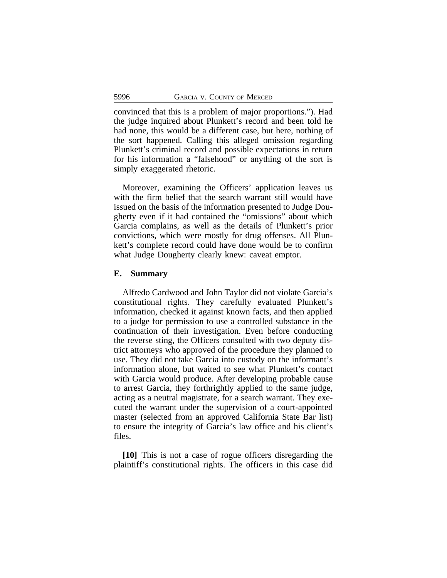convinced that this is a problem of major proportions."). Had the judge inquired about Plunkett's record and been told he had none, this would be a different case, but here, nothing of the sort happened. Calling this alleged omission regarding Plunkett's criminal record and possible expectations in return for his information a "falsehood" or anything of the sort is simply exaggerated rhetoric.

Moreover, examining the Officers' application leaves us with the firm belief that the search warrant still would have issued on the basis of the information presented to Judge Dougherty even if it had contained the "omissions" about which Garcia complains, as well as the details of Plunkett's prior convictions, which were mostly for drug offenses. All Plunkett's complete record could have done would be to confirm what Judge Dougherty clearly knew: caveat emptor.

#### **E. Summary**

Alfredo Cardwood and John Taylor did not violate Garcia's constitutional rights. They carefully evaluated Plunkett's information, checked it against known facts, and then applied to a judge for permission to use a controlled substance in the continuation of their investigation. Even before conducting the reverse sting, the Officers consulted with two deputy district attorneys who approved of the procedure they planned to use. They did not take Garcia into custody on the informant's information alone, but waited to see what Plunkett's contact with Garcia would produce. After developing probable cause to arrest Garcia, they forthrightly applied to the same judge, acting as a neutral magistrate, for a search warrant. They executed the warrant under the supervision of a court-appointed master (selected from an approved California State Bar list) to ensure the integrity of Garcia's law office and his client's files.

**[10]** This is not a case of rogue officers disregarding the plaintiff's constitutional rights. The officers in this case did